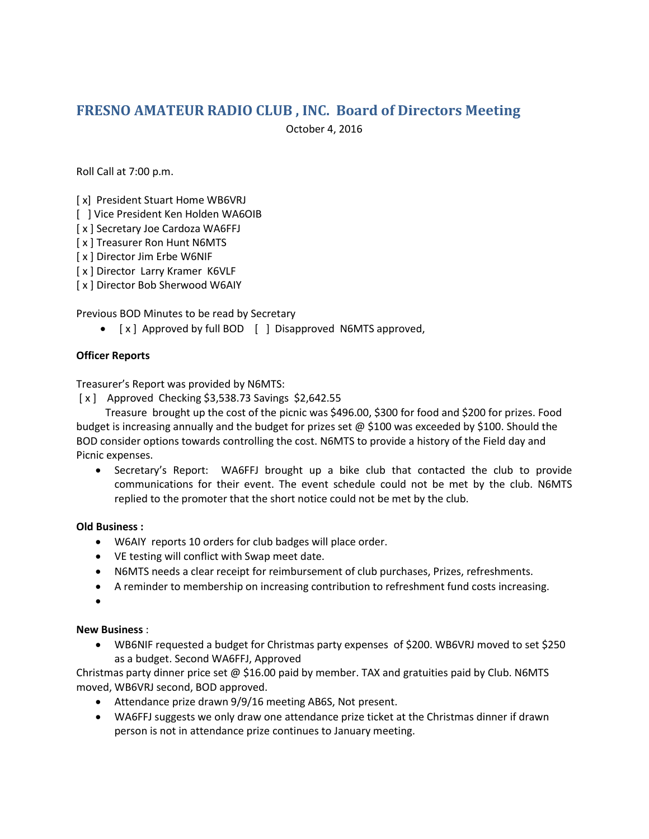## **FRESNO AMATEUR RADIO CLUB , INC. Board of Directors Meeting** October 4, 2016

Roll Call at 7:00 p.m.

- [x] President Stuart Home WB6VRJ
- [ ] Vice President Ken Holden WA6OIB
- [ x ] Secretary Joe Cardoza WA6FFJ
- [ x ] Treasurer Ron Hunt N6MTS
- [ x ] Director Jim Erbe W6NIF
- [ x ] Director Larry Kramer K6VLF
- [ x ] Director Bob Sherwood W6AIY

Previous BOD Minutes to be read by Secretary

• [x] Approved by full BOD [ ] Disapproved N6MTS approved,

## **Officer Reports**

Treasurer's Report was provided by N6MTS:

[x] Approved Checking \$3,538.73 Savings \$2,642.55

 Treasure brought up the cost of the picnic was \$496.00, \$300 for food and \$200 for prizes. Food budget is increasing annually and the budget for prizes set  $\omega$  \$100 was exceeded by \$100. Should the BOD consider options towards controlling the cost. N6MTS to provide a history of the Field day and Picnic expenses.

• Secretary's Report: WA6FFJ brought up a bike club that contacted the club to provide communications for their event. The event schedule could not be met by the club. N6MTS replied to the promoter that the short notice could not be met by the club.

## **Old Business :**

- W6AIY reports 10 orders for club badges will place order.
- VE testing will conflict with Swap meet date.
- N6MTS needs a clear receipt for reimbursement of club purchases, Prizes, refreshments.
- A reminder to membership on increasing contribution to refreshment fund costs increasing.

 $\bullet$ 

## **New Business** :

 WB6NIF requested a budget for Christmas party expenses of \$200. WB6VRJ moved to set \$250 as a budget. Second WA6FFJ, Approved

Christmas party dinner price set  $\omega$  \$16.00 paid by member. TAX and gratuities paid by Club. N6MTS moved, WB6VRJ second, BOD approved.

- Attendance prize drawn 9/9/16 meeting AB6S, Not present.
- WA6FFJ suggests we only draw one attendance prize ticket at the Christmas dinner if drawn person is not in attendance prize continues to January meeting.